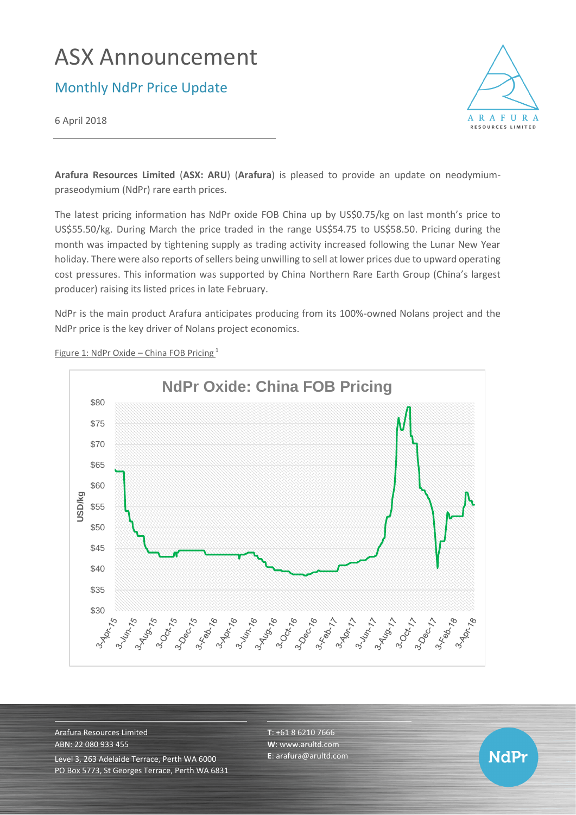# ASX Announcement

Monthly NdPr Price Update

6 April 2018



**Arafura Resources Limited** (**ASX: ARU**) (**Arafura**) is pleased to provide an update on neodymiumpraseodymium (NdPr) rare earth prices.

The latest pricing information has NdPr oxide FOB China up by US\$0.75/kg on last month's price to US\$55.50/kg. During March the price traded in the range US\$54.75 to US\$58.50. Pricing during the month was impacted by tightening supply as trading activity increased following the Lunar New Year holiday. There were also reports of sellers being unwilling to sell at lower prices due to upward operating cost pressures. This information was supported by China Northern Rare Earth Group (China's largest producer) raising its listed prices in late February.

NdPr is the main product Arafura anticipates producing from its 100%-owned Nolans project and the NdPr price is the key driver of Nolans project economics.



Figure 1: NdPr Oxide – China FOB Pricing <sup>1</sup>

Arafura Resources Limited ABN: 22 080 933 455 Level 3, 263 Adelaide Terrace, Perth WA 6000 PO Box 5773, St Georges Terrace, Perth WA 6831 **T**: +61 8 6210 7666 **W**: [www.arultd.com](http://www.arultd.com/) **E**[: arafura@arultd.com](mailto:arafura@arultd.com)

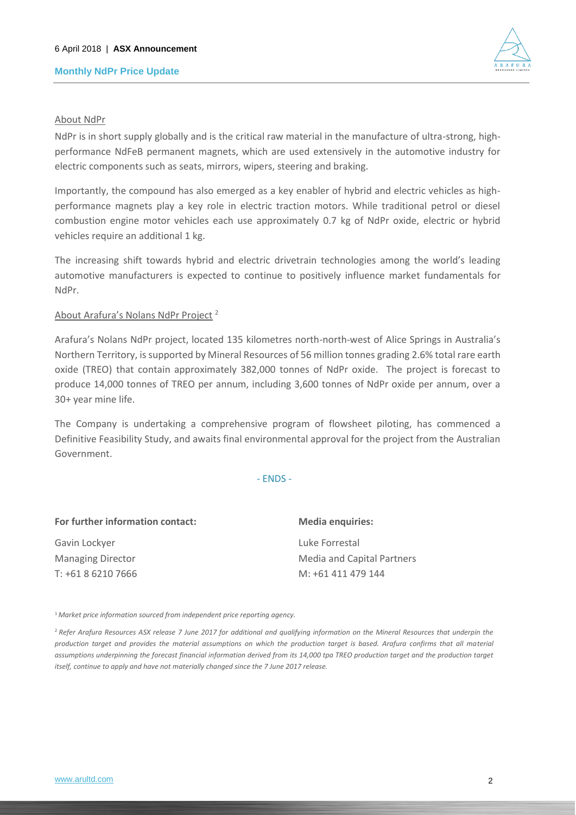## **Monthly NdPr Price Update**



### About NdPr

NdPr is in short supply globally and is the critical raw material in the manufacture of ultra-strong, highperformance NdFeB permanent magnets, which are used extensively in the automotive industry for electric components such as seats, mirrors, wipers, steering and braking.

Importantly, the compound has also emerged as a key enabler of hybrid and electric vehicles as highperformance magnets play a key role in electric traction motors. While traditional petrol or diesel combustion engine motor vehicles each use approximately 0.7 kg of NdPr oxide, electric or hybrid vehicles require an additional 1 kg.

The increasing shift towards hybrid and electric drivetrain technologies among the world's leading automotive manufacturers is expected to continue to positively influence market fundamentals for NdPr.

### About Arafura's Nolans NdPr Project <sup>2</sup>

Arafura's Nolans NdPr project, located 135 kilometres north-north-west of Alice Springs in Australia's Northern Territory, is supported by Mineral Resources of 56 million tonnes grading 2.6% total rare earth oxide (TREO) that contain approximately 382,000 tonnes of NdPr oxide. The project is forecast to produce 14,000 tonnes of TREO per annum, including 3,600 tonnes of NdPr oxide per annum, over a 30+ year mine life.

The Company is undertaking a comprehensive program of flowsheet piloting, has commenced a Definitive Feasibility Study, and awaits final environmental approval for the project from the Australian Government.

#### - ENDS -

| For further information contact: | <b>Media enquiries:</b>           |
|----------------------------------|-----------------------------------|
| Gavin Lockyer                    | Luke Forrestal                    |
| <b>Managing Director</b>         | <b>Media and Capital Partners</b> |
| T: +61 8 6210 7666               | M: +61 411 479 144                |

<sup>1</sup>*Market price information sourced from independent price reporting agency.*

<sup>2</sup>*Refer Arafura Resources ASX release 7 June 2017 for additional and qualifying information on the Mineral Resources that underpin the production target and provides the material assumptions on which the production target is based. Arafura confirms that all material*  assumptions underpinning the forecast financial information derived from its 14,000 tpa TREO production target and the production target *itself, continue to apply and have not materially changed since the 7 June 2017 release.*